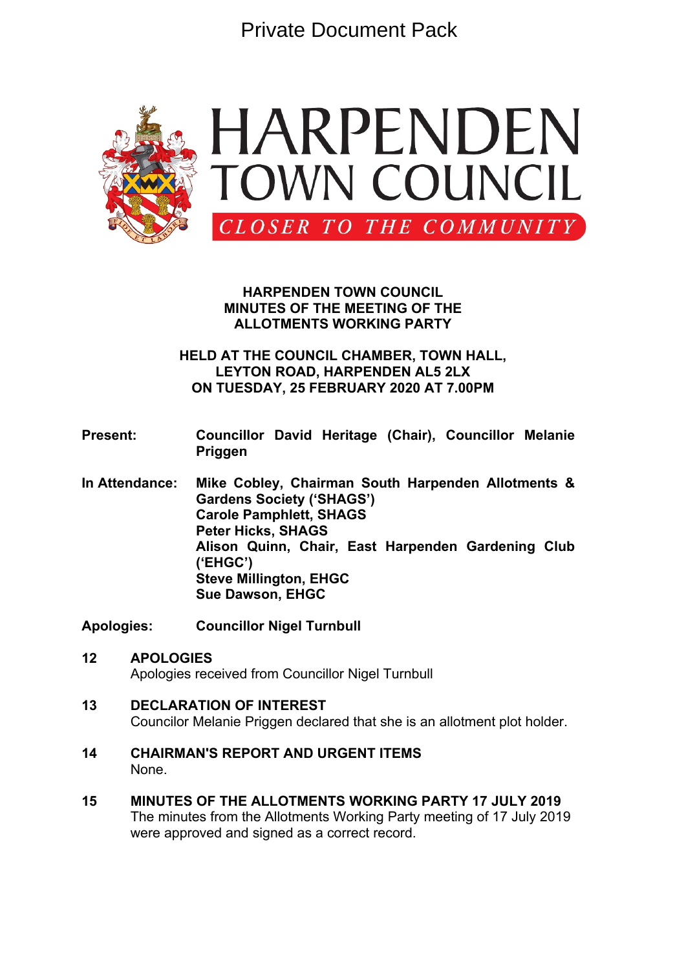Private Document Pack



#### **HARPENDEN TOWN COUNCIL MINUTES OF THE MEETING OF THE ALLOTMENTS WORKING PARTY**

# **HELD AT THE COUNCIL CHAMBER, TOWN HALL, LEYTON ROAD, HARPENDEN AL5 2LX ON TUESDAY, 25 FEBRUARY 2020 AT 7.00PM**

#### **Present: Councillor David Heritage (Chair), Councillor Melanie Priggen**

**In Attendance: Mike Cobley, Chairman South Harpenden Allotments & Gardens Society ('SHAGS') Carole Pamphlett, SHAGS Peter Hicks, SHAGS Alison Quinn, Chair, East Harpenden Gardening Club ('EHGC') Steve Millington, EHGC Sue Dawson, EHGC**

**Apologies: Councillor Nigel Turnbull**

- **12 APOLOGIES** Apologies received from Councillor Nigel Turnbull
- **13 DECLARATION OF INTEREST** Councilor Melanie Priggen declared that she is an allotment plot holder.
- **14 CHAIRMAN'S REPORT AND URGENT ITEMS** None.
- **15 MINUTES OF THE ALLOTMENTS WORKING PARTY 17 JULY 2019** The minutes from the Allotments Working Party meeting of 17 July 2019 were approved and signed as a correct record.